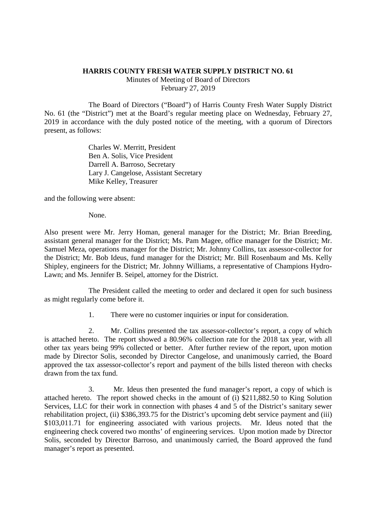## **HARRIS COUNTY FRESH WATER SUPPLY DISTRICT NO. 61**

Minutes of Meeting of Board of Directors February 27, 2019

The Board of Directors ("Board") of Harris County Fresh Water Supply District No. 61 (the "District") met at the Board's regular meeting place on Wednesday, February 27, 2019 in accordance with the duly posted notice of the meeting, with a quorum of Directors present, as follows:

> Charles W. Merritt, President Ben A. Solis, Vice President Darrell A. Barroso, Secretary Lary J. Cangelose, Assistant Secretary Mike Kelley, Treasurer

and the following were absent:

None.

Also present were Mr. Jerry Homan, general manager for the District; Mr. Brian Breeding, assistant general manager for the District; Ms. Pam Magee, office manager for the District; Mr. Samuel Meza, operations manager for the District; Mr. Johnny Collins, tax assessor-collector for the District; Mr. Bob Ideus, fund manager for the District; Mr. Bill Rosenbaum and Ms. Kelly Shipley, engineers for the District; Mr. Johnny Williams, a representative of Champions Hydro-Lawn; and Ms. Jennifer B. Seipel, attorney for the District.

The President called the meeting to order and declared it open for such business as might regularly come before it.

1. There were no customer inquiries or input for consideration.

2. Mr. Collins presented the tax assessor-collector's report, a copy of which is attached hereto. The report showed a 80.96% collection rate for the 2018 tax year, with all other tax years being 99% collected or better. After further review of the report, upon motion made by Director Solis, seconded by Director Cangelose, and unanimously carried, the Board approved the tax assessor-collector's report and payment of the bills listed thereon with checks drawn from the tax fund.

3. Mr. Ideus then presented the fund manager's report, a copy of which is attached hereto. The report showed checks in the amount of (i) \$211,882.50 to King Solution Services, LLC for their work in connection with phases 4 and 5 of the District's sanitary sewer rehabilitation project, (ii) \$386,393.75 for the District's upcoming debt service payment and (iii) \$103,011.71 for engineering associated with various projects. Mr. Ideus noted that the engineering check covered two months' of engineering services. Upon motion made by Director Solis, seconded by Director Barroso, and unanimously carried, the Board approved the fund manager's report as presented.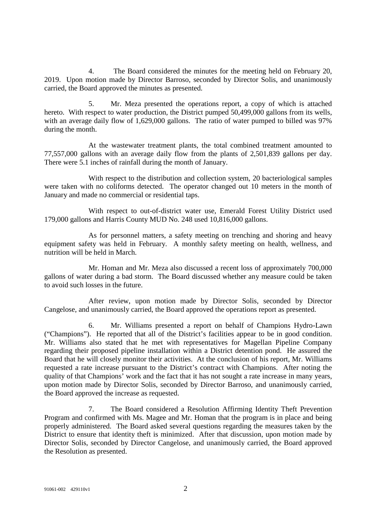4. The Board considered the minutes for the meeting held on February 20, 2019. Upon motion made by Director Barroso, seconded by Director Solis, and unanimously carried, the Board approved the minutes as presented.

5. Mr. Meza presented the operations report, a copy of which is attached hereto. With respect to water production, the District pumped 50,499,000 gallons from its wells, with an average daily flow of 1,629,000 gallons. The ratio of water pumped to billed was 97% during the month.

At the wastewater treatment plants, the total combined treatment amounted to 77,557,000 gallons with an average daily flow from the plants of 2,501,839 gallons per day. There were 5.1 inches of rainfall during the month of January.

With respect to the distribution and collection system, 20 bacteriological samples were taken with no coliforms detected. The operator changed out 10 meters in the month of January and made no commercial or residential taps.

With respect to out-of-district water use, Emerald Forest Utility District used 179,000 gallons and Harris County MUD No. 248 used 10,816,000 gallons.

As for personnel matters, a safety meeting on trenching and shoring and heavy equipment safety was held in February. A monthly safety meeting on health, wellness, and nutrition will be held in March.

Mr. Homan and Mr. Meza also discussed a recent loss of approximately 700,000 gallons of water during a bad storm. The Board discussed whether any measure could be taken to avoid such losses in the future.

After review, upon motion made by Director Solis, seconded by Director Cangelose, and unanimously carried, the Board approved the operations report as presented.

6. Mr. Williams presented a report on behalf of Champions Hydro-Lawn ("Champions"). He reported that all of the District's facilities appear to be in good condition. Mr. Williams also stated that he met with representatives for Magellan Pipeline Company regarding their proposed pipeline installation within a District detention pond. He assured the Board that he will closely monitor their activities. At the conclusion of his report, Mr. Williams requested a rate increase pursuant to the District's contract with Champions. After noting the quality of that Champions' work and the fact that it has not sought a rate increase in many years, upon motion made by Director Solis, seconded by Director Barroso, and unanimously carried, the Board approved the increase as requested.

7. The Board considered a Resolution Affirming Identity Theft Prevention Program and confirmed with Ms. Magee and Mr. Homan that the program is in place and being properly administered. The Board asked several questions regarding the measures taken by the District to ensure that identity theft is minimized. After that discussion, upon motion made by Director Solis, seconded by Director Cangelose, and unanimously carried, the Board approved the Resolution as presented.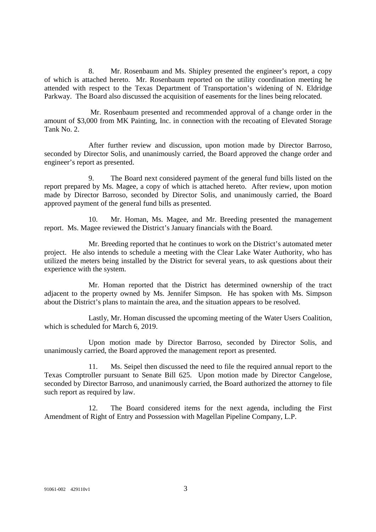8. Mr. Rosenbaum and Ms. Shipley presented the engineer's report, a copy of which is attached hereto. Mr. Rosenbaum reported on the utility coordination meeting he attended with respect to the Texas Department of Transportation's widening of N. Eldridge Parkway. The Board also discussed the acquisition of easements for the lines being relocated.

Mr. Rosenbaum presented and recommended approval of a change order in the amount of \$3,000 from MK Painting, Inc. in connection with the recoating of Elevated Storage Tank No. 2.

After further review and discussion, upon motion made by Director Barroso, seconded by Director Solis, and unanimously carried, the Board approved the change order and engineer's report as presented.

9. The Board next considered payment of the general fund bills listed on the report prepared by Ms. Magee, a copy of which is attached hereto. After review, upon motion made by Director Barroso, seconded by Director Solis, and unanimously carried, the Board approved payment of the general fund bills as presented.

10. Mr. Homan, Ms. Magee, and Mr. Breeding presented the management report. Ms. Magee reviewed the District's January financials with the Board.

Mr. Breeding reported that he continues to work on the District's automated meter project. He also intends to schedule a meeting with the Clear Lake Water Authority, who has utilized the meters being installed by the District for several years, to ask questions about their experience with the system.

Mr. Homan reported that the District has determined ownership of the tract adjacent to the property owned by Ms. Jennifer Simpson. He has spoken with Ms. Simpson about the District's plans to maintain the area, and the situation appears to be resolved.

Lastly, Mr. Homan discussed the upcoming meeting of the Water Users Coalition, which is scheduled for March 6, 2019.

Upon motion made by Director Barroso, seconded by Director Solis, and unanimously carried, the Board approved the management report as presented.

11. Ms. Seipel then discussed the need to file the required annual report to the Texas Comptroller pursuant to Senate Bill 625. Upon motion made by Director Cangelose, seconded by Director Barroso, and unanimously carried, the Board authorized the attorney to file such report as required by law.

12. The Board considered items for the next agenda, including the First Amendment of Right of Entry and Possession with Magellan Pipeline Company, L.P.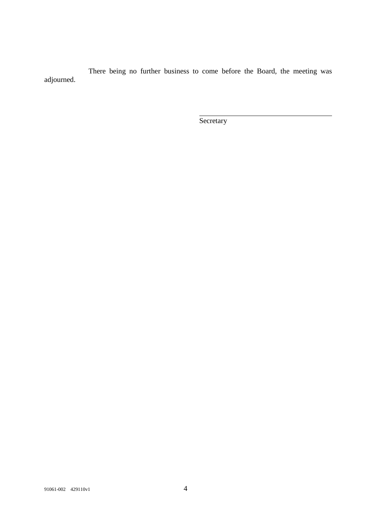There being no further business to come before the Board, the meeting was adjourned.

**Secretary**